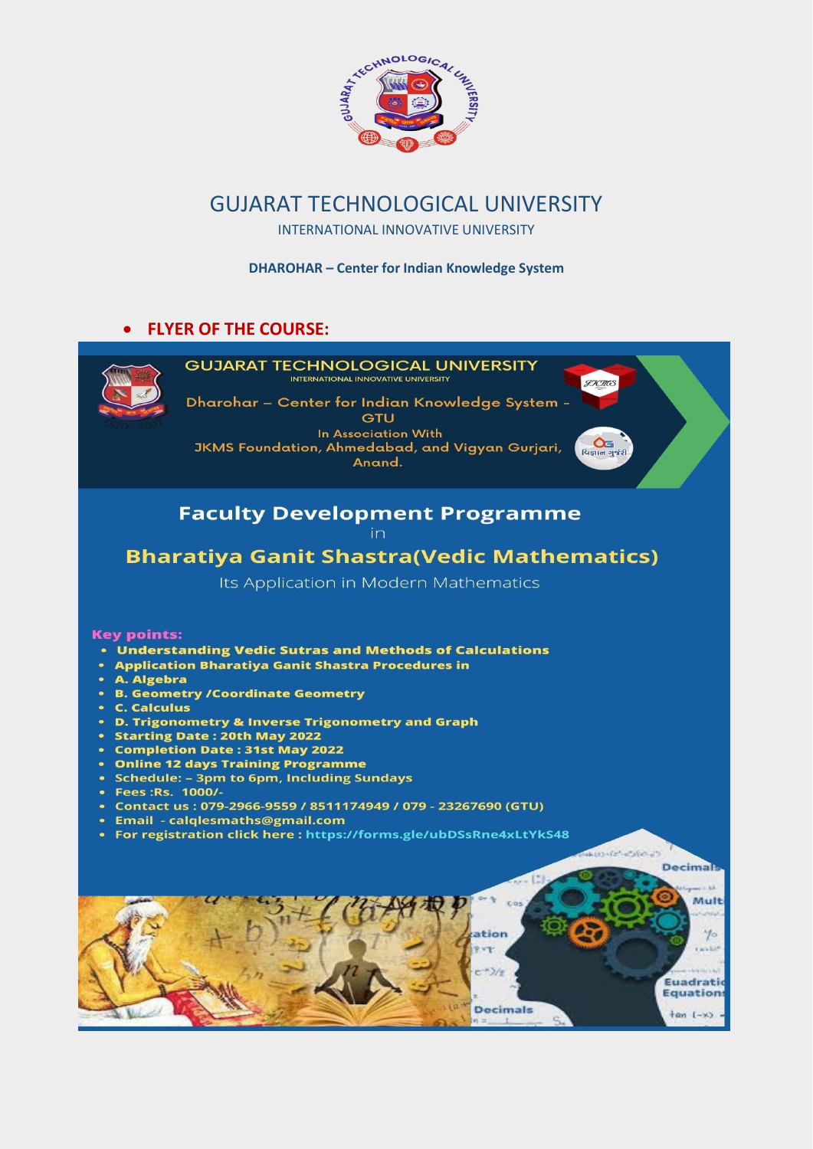

## GUJARAT TECHNOLOGICAL UNIVERSITY

INTERNATIONAL INNOVATIVE UNIVERSITY

**DHAROHAR – Center for Indian Knowledge System**

#### **FLYER OF THE COURSE:**

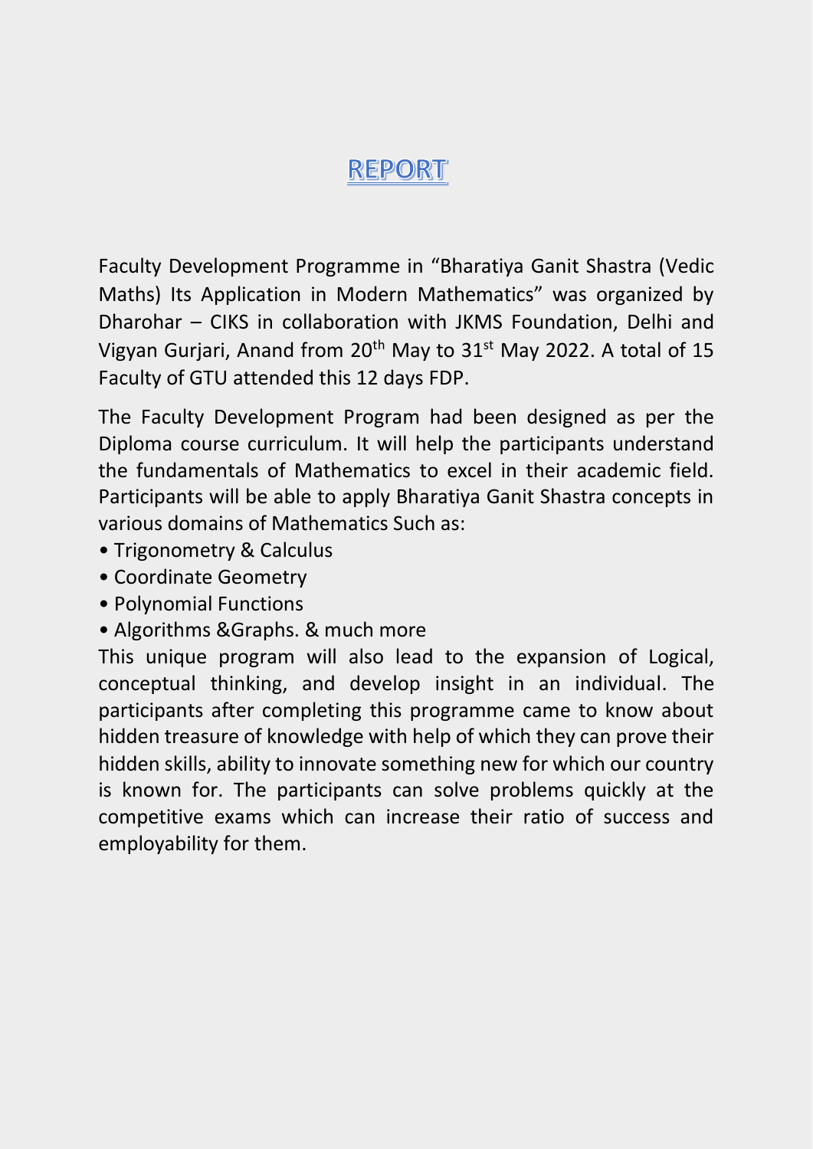## **REPORT**

Faculty Development Programme in "Bharatiya Ganit Shastra (Vedic Maths) Its Application in Modern Mathematics" was organized by Dharohar – CIKS in collaboration with JKMS Foundation, Delhi and Vigyan Gurjari, Anand from 20<sup>th</sup> May to 31<sup>st</sup> May 2022. A total of 15 Faculty of GTU attended this 12 days FDP.

The Faculty Development Program had been designed as per the Diploma course curriculum. It will help the participants understand the fundamentals of Mathematics to excel in their academic field. Participants will be able to apply Bharatiya Ganit Shastra concepts in various domains of Mathematics Such as:

- Trigonometry & Calculus
- Coordinate Geometry
- Polynomial Functions
- Algorithms &Graphs. & much more

This unique program will also lead to the expansion of Logical, conceptual thinking, and develop insight in an individual. The participants after completing this programme came to know about hidden treasure of knowledge with help of which they can prove their hidden skills, ability to innovate something new for which our country is known for. The participants can solve problems quickly at the competitive exams which can increase their ratio of success and employability for them.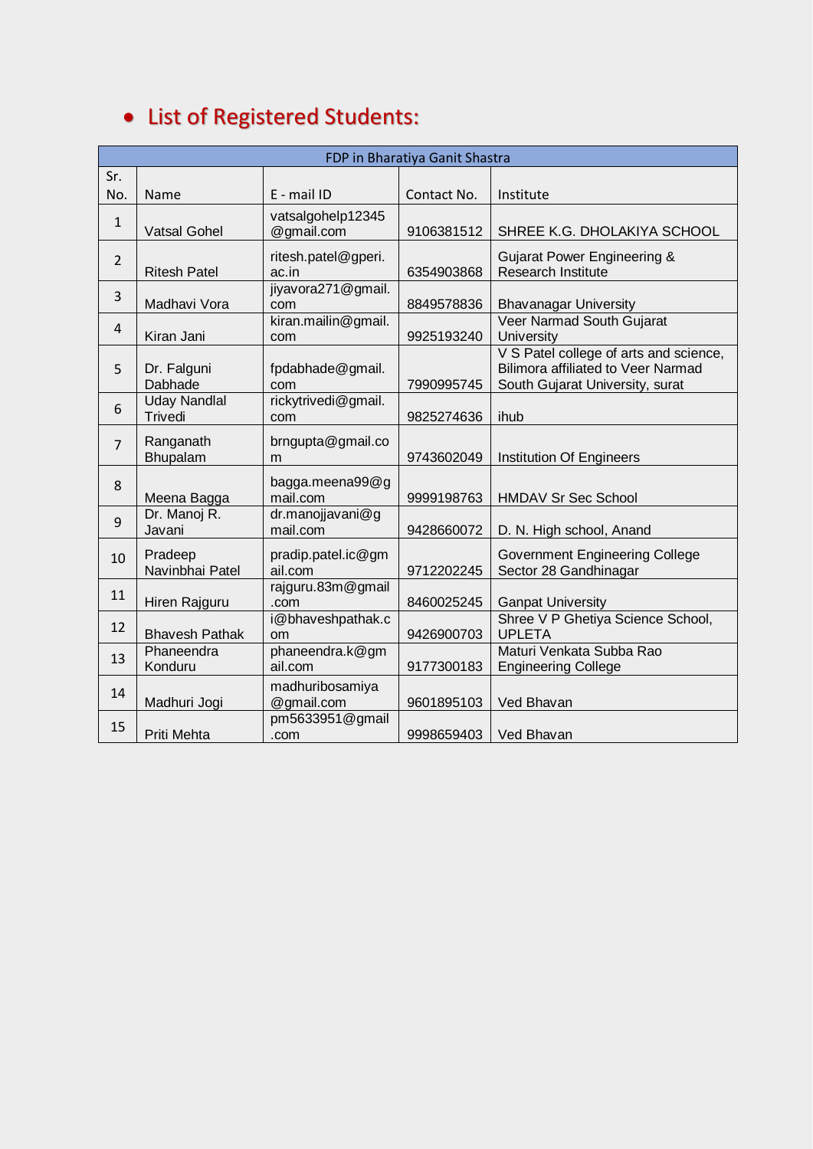| FDP in Bharatiya Ganit Shastra |                                |                                 |             |                                                                                                                        |
|--------------------------------|--------------------------------|---------------------------------|-------------|------------------------------------------------------------------------------------------------------------------------|
| Sr.                            |                                |                                 |             |                                                                                                                        |
| No.                            | Name                           | $E - mail$ ID                   | Contact No. | Institute                                                                                                              |
| $\mathbf{1}$                   | <b>Vatsal Gohel</b>            | vatsalgohelp12345<br>@gmail.com | 9106381512  | SHREE K.G. DHOLAKIYA SCHOOL                                                                                            |
| $\overline{2}$                 | <b>Ritesh Patel</b>            | ritesh.patel@gperi.<br>ac.in    | 6354903868  | Gujarat Power Engineering &<br><b>Research Institute</b>                                                               |
| 3                              | Madhavi Vora                   | jiyavora271@gmail.<br>com       | 8849578836  | <b>Bhavanagar University</b>                                                                                           |
| $\overline{4}$                 | Kiran Jani                     | kiran.mailin@gmail.<br>com      | 9925193240  | Veer Narmad South Gujarat<br>University                                                                                |
| 5                              | Dr. Falguni<br>Dabhade         | fpdabhade@gmail.<br>com         | 7990995745  | V S Patel college of arts and science,<br><b>Bilimora affiliated to Veer Narmad</b><br>South Gujarat University, surat |
| 6                              | <b>Uday Nandlal</b><br>Trivedi | rickytrivedi@gmail.<br>com      | 9825274636  | ihub                                                                                                                   |
| $\overline{7}$                 | Ranganath<br>Bhupalam          | brngupta@gmail.co<br>m          | 9743602049  | <b>Institution Of Engineers</b>                                                                                        |
| 8                              | Meena Bagga                    | bagga.meena99@g<br>mail.com     | 9999198763  | <b>HMDAV Sr Sec School</b>                                                                                             |
| 9                              | Dr. Manoj R.<br>Javani         | dr.manojjavani@g<br>mail.com    | 9428660072  | D. N. High school, Anand                                                                                               |
| 10                             | Pradeep<br>Navinbhai Patel     | pradip.patel.ic@gm<br>ail.com   | 9712202245  | <b>Government Engineering College</b><br>Sector 28 Gandhinagar                                                         |
| 11                             | Hiren Rajguru                  | rajguru.83m@gmail<br>.com       | 8460025245  | <b>Ganpat University</b>                                                                                               |
| 12                             | <b>Bhavesh Pathak</b>          | i@bhaveshpathak.c<br>om         | 9426900703  | Shree V P Ghetiya Science School,<br><b>UPLETA</b>                                                                     |
| 13                             | Phaneendra<br>Konduru          | phaneendra.k@gm<br>ail.com      | 9177300183  | Maturi Venkata Subba Rao<br><b>Engineering College</b>                                                                 |
| 14                             | Madhuri Jogi                   | madhuribosamiya<br>@gmail.com   | 9601895103  | Ved Bhavan                                                                                                             |
| 15                             | Priti Mehta                    | pm5633951@gmail<br>.com         | 9998659403  | Ved Bhavan                                                                                                             |

# List of Registered Students: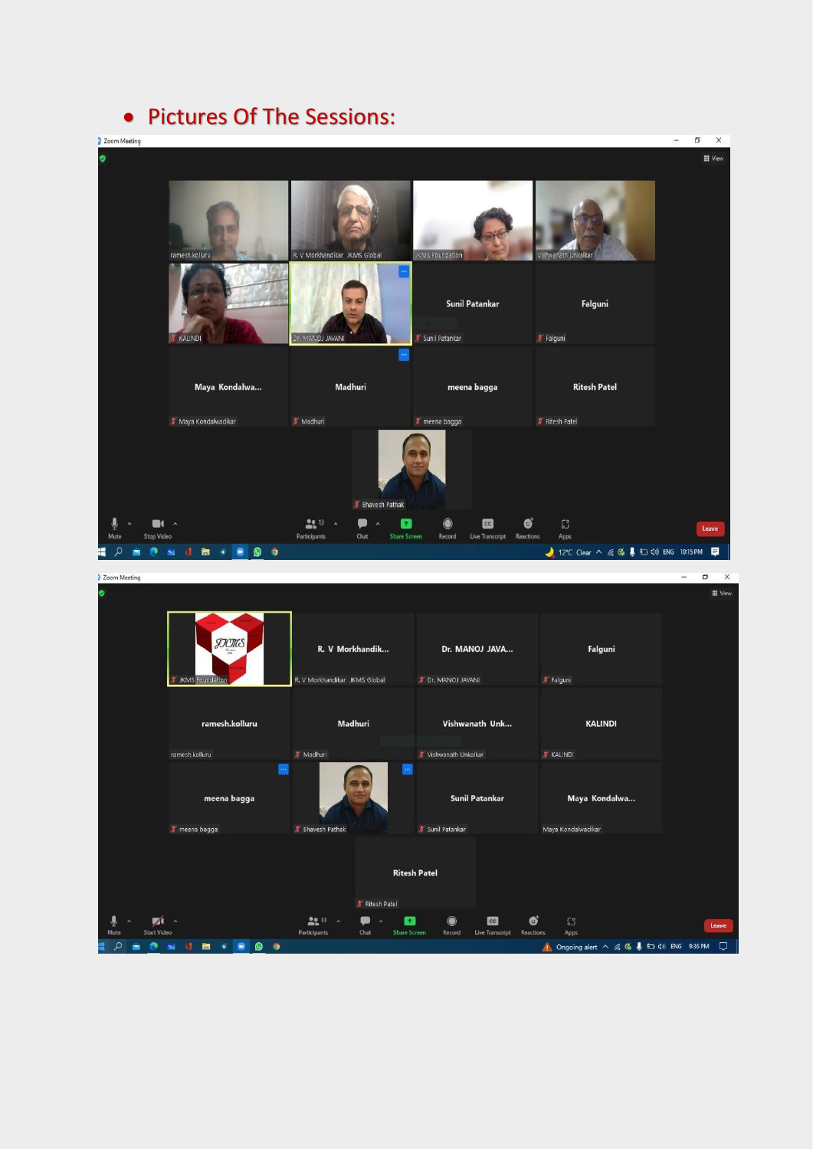## • Pictures Of The Sessions: